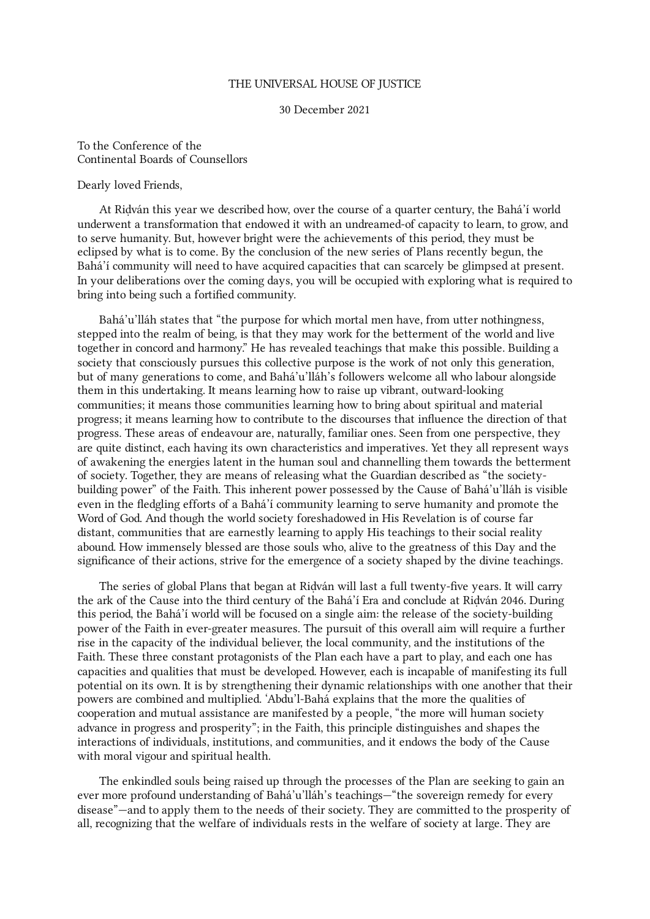## THE UNIVERSAL HOUSE OF JUSTICE

### 30 December 2021

# To the Conference of the Continental Boards of Counsellors

# Dearly loved Friends,

At Riḍván this year we described how, over the course of a quarter century, the Bahá'í world underwent a transformation that endowed it with an undreamed-of capacity to learn, to grow, and to serve humanity. But, however bright were the achievements of this period, they must be eclipsed by what is to come. By the conclusion of the new series of Plans recently begun, the Bahá'í community will need to have acquired capacities that can scarcely be glimpsed at present. In your deliberations over the coming days, you will be occupied with exploring what is required to bring into being such a fortified community.

Bahá'u'lláh states that "the purpose for which mortal men have, from utter nothingness, stepped into the realm of being, is that they may work for the betterment of the world and live together in concord and harmony." He has revealed teachings that make this possible. Building a society that consciously pursues this collective purpose is the work of not only this generation, but of many generations to come, and Bahá'u'lláh's followers welcome all who labour alongside them in this undertaking. It means learning how to raise up vibrant, outward-looking communities; it means those communities learning how to bring about spiritual and material progress; it means learning how to contribute to the discourses that influence the direction of that progress. These areas of endeavour are, naturally, familiar ones. Seen from one perspective, they are quite distinct, each having its own characteristics and imperatives. Yet they all represent ways of awakening the energies latent in the human soul and channelling them towards the betterment of society. Together, they are means of releasing what the Guardian described as "the societybuilding power" of the Faith. This inherent power possessed by the Cause of Bahá'u'lláh is visible even in the fledgling efforts of a Bahá'í community learning to serve humanity and promote the Word of God. And though the world society foreshadowed in His Revelation is of course far distant, communities that are earnestly learning to apply His teachings to their social reality abound. How immensely blessed are those souls who, alive to the greatness of this Day and the significance of their actions, strive for the emergence of a society shaped by the divine teachings.

The series of global Plans that began at Ridván will last a full twenty-five years. It will carry the ark of the Cause into the third century of the Bahá'í Era and conclude at Riḍván 2046. During this period, the Bahá'í world will be focused on a single aim: the release of the society-building power of the Faith in ever-greater measures. The pursuit of this overall aim will require a further rise in the capacity of the individual believer, the local community, and the institutions of the Faith. These three constant protagonists of the Plan each have a part to play, and each one has capacities and qualities that must be developed. However, each is incapable of manifesting its full potential on its own. It is by strengthening their dynamic relationships with one another that their powers are combined and multiplied. 'Abdu'l-Bahá explains that the more the qualities of cooperation and mutual assistance are manifested by a people, "the more will human society advance in progress and prosperity"; in the Faith, this principle distinguishes and shapes the interactions of individuals, institutions, and communities, and it endows the body of the Cause with moral vigour and spiritual health.

The enkindled souls being raised up through the processes of the Plan are seeking to gain an ever more profound understanding of Bahá'u'lláh's teachings—"the sovereign remedy for every disease"—and to apply them to the needs of their society. They are committed to the prosperity of all, recognizing that the welfare of individuals rests in the welfare of society at large. They are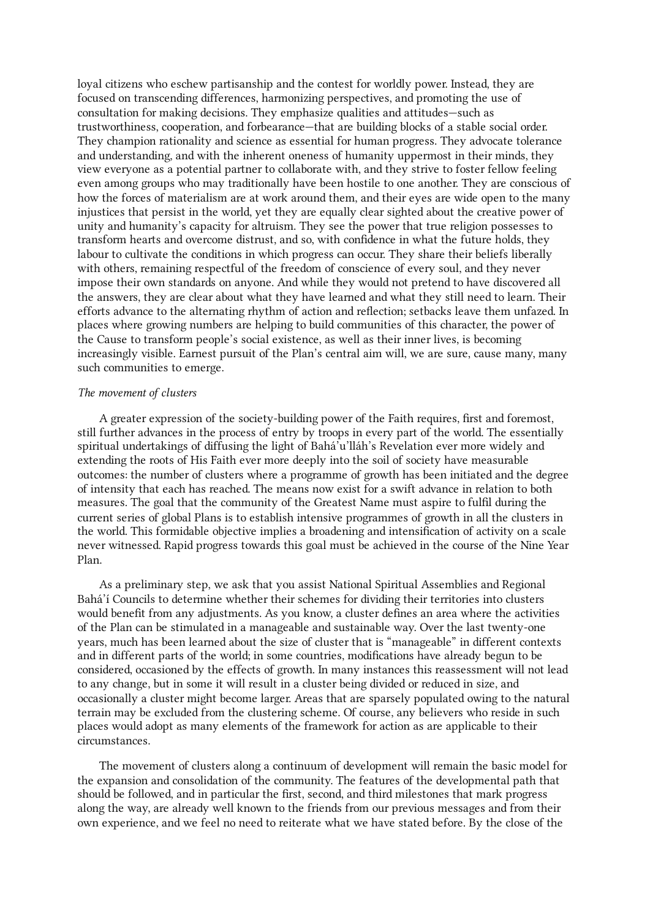loyal citizens who eschew partisanship and the contest for worldly power. Instead, they are focused on transcending differences, harmonizing perspectives, and promoting the use of consultation for making decisions. They emphasize qualities and attitudes—such as trustworthiness, cooperation, and forbearance—that are building blocks of a stable social order. They champion rationality and science as essential for human progress. They advocate tolerance and understanding, and with the inherent oneness of humanity uppermost in their minds, they view everyone as a potential partner to collaborate with, and they strive to foster fellow feeling even among groups who may traditionally have been hostile to one another. They are conscious of how the forces of materialism are at work around them, and their eyes are wide open to the many injustices that persist in the world, yet they are equally clear sighted about the creative power of unity and humanity's capacity for altruism. They see the power that true religion possesses to transform hearts and overcome distrust, and so, with confidence in what the future holds, they labour to cultivate the conditions in which progress can occur. They share their beliefs liberally with others, remaining respectful of the freedom of conscience of every soul, and they never impose their own standards on anyone. And while they would not pretend to have discovered all the answers, they are clear about what they have learned and what they still need to learn. Their efforts advance to the alternating rhythm of action and reflection; setbacks leave them unfazed. In places where growing numbers are helping to build communities of this character, the power of the Cause to transform people's social existence, as well as their inner lives, is becoming increasingly visible. Earnest pursuit of the Plan's central aim will, we are sure, cause many, many such communities to emerge.

## The movement of clusters

A greater expression of the society-building power of the Faith requires, first and foremost, still further advances in the process of entry by troops in every part of the world. The essentially spiritual undertakings of diffusing the light of Bahá'u'lláh's Revelation ever more widely and extending the roots of His Faith ever more deeply into the soil of society have measurable outcomes: the number of clusters where a programme of growth has been initiated and the degree of intensity that each has reached. The means now exist for a swift advance in relation to both measures. The goal that the community of the Greatest Name must aspire to fulfil during the current series of global Plans is to establish intensive programmes of growth in all the clusters in the world. This formidable objective implies a broadening and intensification of activity on a scale never witnessed. Rapid progress towards this goal must be achieved in the course of the Nine Year Plan.

As a preliminary step, we ask that you assist National Spiritual Assemblies and Regional Bahá'í Councils to determine whether their schemes for dividing their territories into clusters would benefit from any adjustments. As you know, a cluster defines an area where the activities of the Plan can be stimulated in a manageable and sustainable way. Over the last twenty-one years, much has been learned about the size of cluster that is "manageable" in different contexts and in different parts of the world; in some countries, modifications have already begun to be considered, occasioned by the effects of growth. In many instances this reassessment will not lead to any change, but in some it will result in a cluster being divided or reduced in size, and occasionally a cluster might become larger. Areas that are sparsely populated owing to the natural terrain may be excluded from the clustering scheme. Of course, any believers who reside in such places would adopt as many elements of the framework for action as are applicable to their circumstances.

The movement of clusters along a continuum of development will remain the basic model for the expansion and consolidation of the community. The features of the developmental path that should be followed, and in particular the first, second, and third milestones that mark progress along the way, are already well known to the friends from our previous messages and from their own experience, and we feel no need to reiterate what we have stated before. By the close of the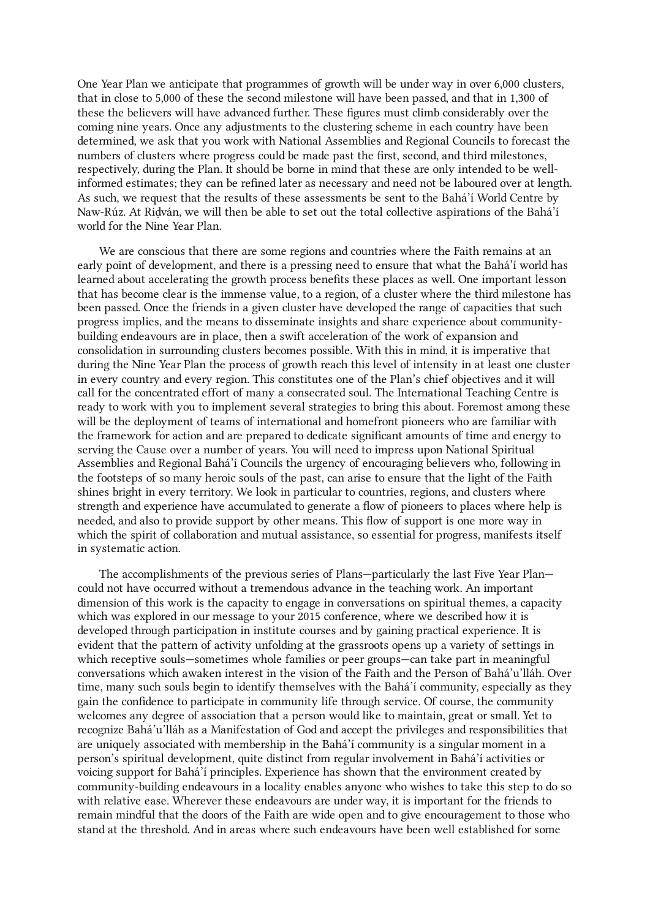One Year Plan we anticipate that programmes of growth will be under way in over 6,000 clusters, that in close to 5,000 of these the second milestone will have been passed, and that in 1,300 of these the believers will have advanced further. These figures must climb considerably over the coming nine years. Once any adjustments to the clustering scheme in each country have been determined, we ask that you work with National Assemblies and Regional Councils to forecast the numbers of clusters where progress could be made past the first, second, and third milestones, respectively, during the Plan. It should be borne in mind that these are only intended to be wellinformed estimates; they can be refined later as necessary and need not be laboured over at length. As such, we request that the results of these assessments be sent to the Bahá'í World Centre by Naw-Rúz. At Riḍván, we will then be able to set out the total collective aspirations of the Bahá'í world for the Nine Year Plan.

We are conscious that there are some regions and countries where the Faith remains at an early point of development, and there is a pressing need to ensure that what the Bahá'í world has learned about accelerating the growth process benefits these places as well. One important lesson that has become clear is the immense value, to a region, of a cluster where the third milestone has been passed. Once the friends in a given cluster have developed the range of capacities that such progress implies, and the means to disseminate insights and share experience about communitybuilding endeavours are in place, then a swift acceleration of the work of expansion and consolidation in surrounding clusters becomes possible. With this in mind, it is imperative that during the Nine Year Plan the process of growth reach this level of intensity in at least one cluster in every country and every region. This constitutes one of the Plan's chief objectives and it will call for the concentrated effort of many a consecrated soul. The International Teaching Centre is ready to work with you to implement several strategies to bring this about. Foremost among these will be the deployment of teams of international and homefront pioneers who are familiar with the framework for action and are prepared to dedicate significant amounts of time and energy to serving the Cause over a number of years. You will need to impress upon National Spiritual Assemblies and Regional Bahá'í Councils the urgency of encouraging believers who, following in the footsteps of so many heroic souls of the past, can arise to ensure that the light of the Faith shines bright in every territory. We look in particular to countries, regions, and clusters where strength and experience have accumulated to generate a flow of pioneers to places where help is needed, and also to provide support by other means. This flow of support is one more way in which the spirit of collaboration and mutual assistance, so essential for progress, manifests itself in systematic action.

The accomplishments of the previous series of Plans—particularly the last Five Year Plan could not have occurred without a tremendous advance in the teaching work. An important dimension of this work is the capacity to engage in conversations on spiritual themes, a capacity which was explored in our message to your 2015 conference, where we described how it is developed through participation in institute courses and by gaining practical experience. It is evident that the pattern of activity unfolding at the grassroots opens up a variety of settings in which receptive souls—sometimes whole families or peer groups—can take part in meaningful conversations which awaken interest in the vision of the Faith and the Person of Bahá'u'lláh. Over time, many such souls begin to identify themselves with the Bahá'í community, especially as they gain the confidence to participate in community life through service. Of course, the community welcomes any degree of association that a person would like to maintain, great or small. Yet to recognize Bahá'u'lláh as a Manifestation of God and accept the privileges and responsibilities that are uniquely associated with membership in the Bahá'í community is a singular moment in a person's spiritual development, quite distinct from regular involvement in Bahá'í activities or voicing support for Bahá'í principles. Experience has shown that the environment created by community-building endeavours in a locality enables anyone who wishes to take this step to do so with relative ease. Wherever these endeavours are under way, it is important for the friends to remain mindful that the doors of the Faith are wide open and to give encouragement to those who stand at the threshold. And in areas where such endeavours have been well established for some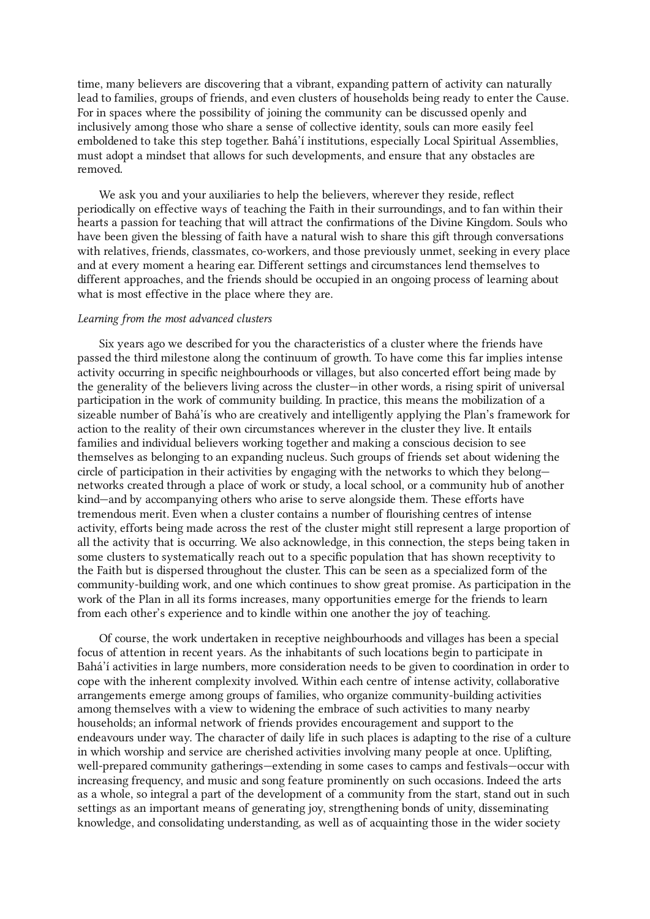time, many believers are discovering that a vibrant, expanding pattern of activity can naturally lead to families, groups of friends, and even clusters of households being ready to enter the Cause. For in spaces where the possibility of joining the community can be discussed openly and inclusively among those who share a sense of collective identity, souls can more easily feel emboldened to take this step together. Bahá'í institutions, especially Local Spiritual Assemblies, must adopt a mindset that allows for such developments, and ensure that any obstacles are removed.

We ask you and your auxiliaries to help the believers, wherever they reside, reflect periodically on effective ways of teaching the Faith in their surroundings, and to fan within their hearts a passion for teaching that will attract the confirmations of the Divine Kingdom. Souls who have been given the blessing of faith have a natural wish to share this gift through conversations with relatives, friends, classmates, co-workers, and those previously unmet, seeking in every place and at every moment a hearing ear. Different settings and circumstances lend themselves to different approaches, and the friends should be occupied in an ongoing process of learning about what is most effective in the place where they are.

#### Learning from the most advanced clusters

Six years ago we described for you the characteristics of a cluster where the friends have passed the third milestone along the continuum of growth. To have come this far implies intense activity occurring in specific neighbourhoods or villages, but also concerted effort being made by the generality of the believers living across the cluster—in other words, a rising spirit of universal participation in the work of community building. In practice, this means the mobilization of a sizeable number of Bahá'ís who are creatively and intelligently applying the Plan's framework for action to the reality of their own circumstances wherever in the cluster they live. It entails families and individual believers working together and making a conscious decision to see themselves as belonging to an expanding nucleus. Such groups of friends set about widening the circle of participation in their activities by engaging with the networks to which they belong networks created through a place of work or study, a local school, or a community hub of another kind—and by accompanying others who arise to serve alongside them. These efforts have tremendous merit. Even when a cluster contains a number of flourishing centres of intense activity, efforts being made across the rest of the cluster might still represent a large proportion of all the activity that is occurring. We also acknowledge, in this connection, the steps being taken in some clusters to systematically reach out to a specific population that has shown receptivity to the Faith but is dispersed throughout the cluster. This can be seen as a specialized form of the community-building work, and one which continues to show great promise. As participation in the work of the Plan in all its forms increases, many opportunities emerge for the friends to learn from each other's experience and to kindle within one another the joy of teaching.

Of course, the work undertaken in receptive neighbourhoods and villages has been a special focus of attention in recent years. As the inhabitants of such locations begin to participate in Bahá'í activities in large numbers, more consideration needs to be given to coordination in order to cope with the inherent complexity involved. Within each centre of intense activity, collaborative arrangements emerge among groups of families, who organize community-building activities among themselves with a view to widening the embrace of such activities to many nearby households; an informal network of friends provides encouragement and support to the endeavours under way. The character of daily life in such places is adapting to the rise of a culture in which worship and service are cherished activities involving many people at once. Uplifting, well-prepared community gatherings—extending in some cases to camps and festivals—occur with increasing frequency, and music and song feature prominently on such occasions. Indeed the arts as a whole, so integral a part of the development of a community from the start, stand out in such settings as an important means of generating joy, strengthening bonds of unity, disseminating knowledge, and consolidating understanding, as well as of acquainting those in the wider society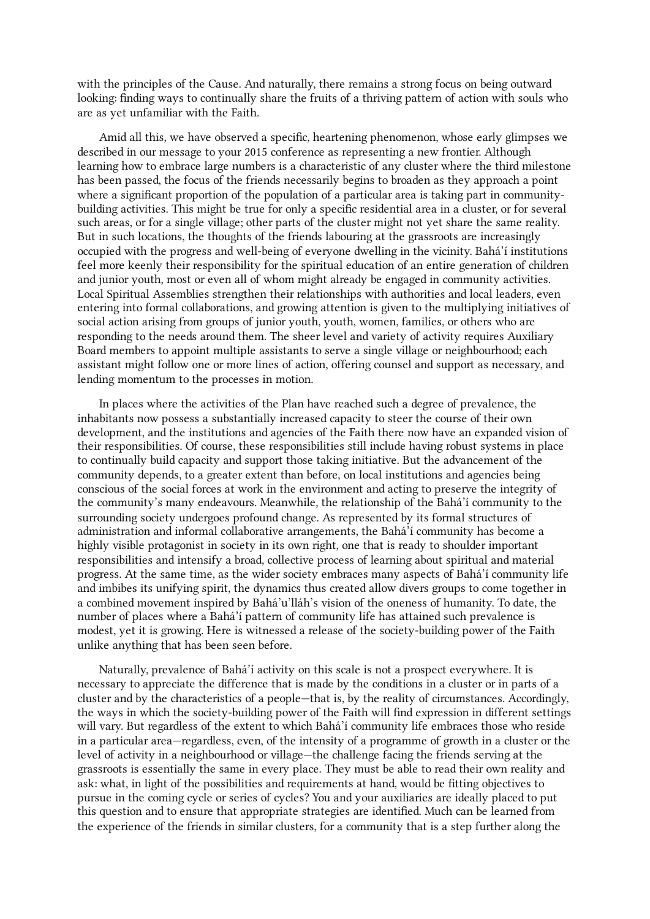with the principles of the Cause. And naturally, there remains a strong focus on being outward looking: finding ways to continually share the fruits of a thriving pattern of action with souls who are as yet unfamiliar with the Faith.

Amid all this, we have observed a specific, heartening phenomenon, whose early glimpses we described in our message to your 2015 conference as representing a new frontier. Although learning how to embrace large numbers is a characteristic of any cluster where the third milestone has been passed, the focus of the friends necessarily begins to broaden as they approach a point where a significant proportion of the population of a particular area is taking part in communitybuilding activities. This might be true for only a specific residential area in a cluster, or for several such areas, or for a single village; other parts of the cluster might not yet share the same reality. But in such locations, the thoughts of the friends labouring at the grassroots are increasingly occupied with the progress and well-being of everyone dwelling in the vicinity. Bahá'í institutions feel more keenly their responsibility for the spiritual education of an entire generation of children and junior youth, most or even all of whom might already be engaged in community activities. Local Spiritual Assemblies strengthen their relationships with authorities and local leaders, even entering into formal collaborations, and growing attention is given to the multiplying initiatives of social action arising from groups of junior youth, youth, women, families, or others who are responding to the needs around them. The sheer level and variety of activity requires Auxiliary Board members to appoint multiple assistants to serve a single village or neighbourhood; each assistant might follow one or more lines of action, offering counsel and support as necessary, and lending momentum to the processes in motion.

In places where the activities of the Plan have reached such a degree of prevalence, the inhabitants now possess a substantially increased capacity to steer the course of their own development, and the institutions and agencies of the Faith there now have an expanded vision of their responsibilities. Of course, these responsibilities still include having robust systems in place to continually build capacity and support those taking initiative. But the advancement of the community depends, to a greater extent than before, on local institutions and agencies being conscious of the social forces at work in the environment and acting to preserve the integrity of the community's many endeavours. Meanwhile, the relationship of the Bahá'í community to the surrounding society undergoes profound change. As represented by its formal structures of administration and informal collaborative arrangements, the Bahá'í community has become a highly visible protagonist in society in its own right, one that is ready to shoulder important responsibilities and intensify a broad, collective process of learning about spiritual and material progress. At the same time, as the wider society embraces many aspects of Bahá'í community life and imbibes its unifying spirit, the dynamics thus created allow divers groups to come together in a combined movement inspired by Bahá'u'lláh's vision of the oneness of humanity. To date, the number of places where a Bahá'í pattern of community life has attained such prevalence is modest, yet it is growing. Here is witnessed a release of the society-building power of the Faith unlike anything that has been seen before.

Naturally, prevalence of Bahá'í activity on this scale is not a prospect everywhere. It is necessary to appreciate the difference that is made by the conditions in a cluster or in parts of a cluster and by the characteristics of a people—that is, by the reality of circumstances. Accordingly, the ways in which the society-building power of the Faith will find expression in different settings will vary. But regardless of the extent to which Bahá'í community life embraces those who reside in a particular area—regardless, even, of the intensity of a programme of growth in a cluster or the level of activity in a neighbourhood or village—the challenge facing the friends serving at the grassroots is essentially the same in every place. They must be able to read their own reality and ask: what, in light of the possibilities and requirements at hand, would be fitting objectives to pursue in the coming cycle or series of cycles? You and your auxiliaries are ideally placed to put this question and to ensure that appropriate strategies are identified. Much can be learned from the experience of the friends in similar clusters, for a community that is a step further along the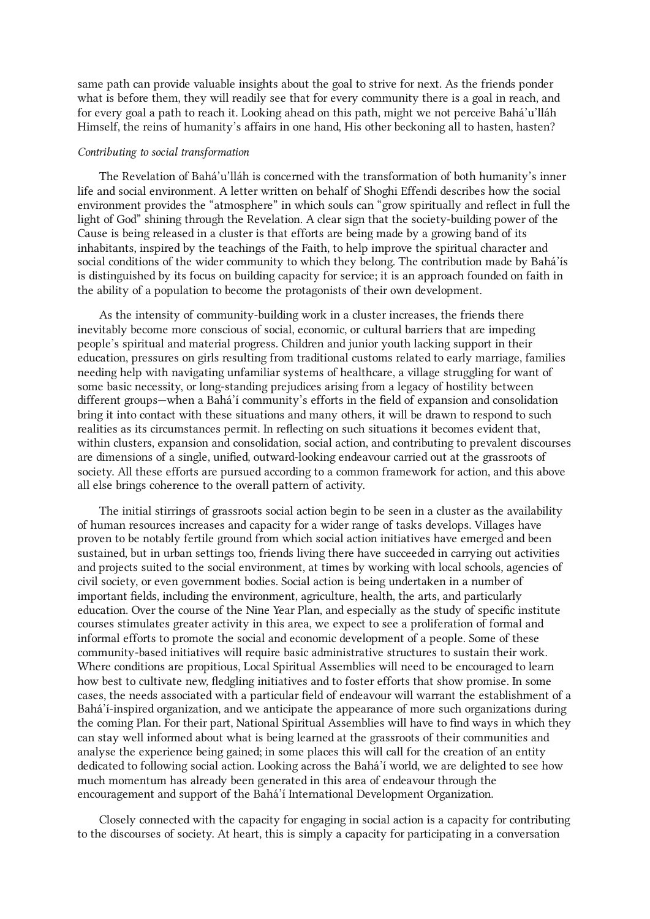same path can provide valuable insights about the goal to strive for next. As the friends ponder what is before them, they will readily see that for every community there is a goal in reach, and for every goal a path to reach it. Looking ahead on this path, might we not perceive Bahá'u'lláh Himself, the reins of humanity's affairs in one hand, His other beckoning all to hasten, hasten?

#### Contributing to social transformation

The Revelation of Bahá'u'lláh is concerned with the transformation of both humanity's inner life and social environment. A letter written on behalf of Shoghi Effendi describes how the social environment provides the "atmosphere" in which souls can "grow spiritually and reflect in full the light of God" shining through the Revelation. A clear sign that the society-building power of the Cause is being released in a cluster is that efforts are being made by a growing band of its inhabitants, inspired by the teachings of the Faith, to help improve the spiritual character and social conditions of the wider community to which they belong. The contribution made by Bahá'ís is distinguished by its focus on building capacity for service; it is an approach founded on faith in the ability of a population to become the protagonists of their own development.

As the intensity of community-building work in a cluster increases, the friends there inevitably become more conscious of social, economic, or cultural barriers that are impeding people's spiritual and material progress. Children and junior youth lacking support in their education, pressures on girls resulting from traditional customs related to early marriage, families needing help with navigating unfamiliar systems of healthcare, a village struggling for want of some basic necessity, or long-standing prejudices arising from a legacy of hostility between different groups—when a Bahá'í community's efforts in the field of expansion and consolidation bring it into contact with these situations and many others, it will be drawn to respond to such realities as its circumstances permit. In reflecting on such situations it becomes evident that, within clusters, expansion and consolidation, social action, and contributing to prevalent discourses are dimensions of a single, unified, outward-looking endeavour carried out at the grassroots of society. All these efforts are pursued according to a common framework for action, and this above all else brings coherence to the overall pattern of activity.

The initial stirrings of grassroots social action begin to be seen in a cluster as the availability of human resources increases and capacity for a wider range of tasks develops. Villages have proven to be notably fertile ground from which social action initiatives have emerged and been sustained, but in urban settings too, friends living there have succeeded in carrying out activities and projects suited to the social environment, at times by working with local schools, agencies of civil society, or even government bodies. Social action is being undertaken in a number of important fields, including the environment, agriculture, health, the arts, and particularly education. Over the course of the Nine Year Plan, and especially as the study of specific institute courses stimulates greater activity in this area, we expect to see a proliferation of formal and informal efforts to promote the social and economic development of a people. Some of these community-based initiatives will require basic administrative structures to sustain their work. Where conditions are propitious, Local Spiritual Assemblies will need to be encouraged to learn how best to cultivate new, fledgling initiatives and to foster efforts that show promise. In some cases, the needs associated with a particular field of endeavour will warrant the establishment of a Bahá'í-inspired organization, and we anticipate the appearance of more such organizations during the coming Plan. For their part, National Spiritual Assemblies will have to find ways in which they can stay well informed about what is being learned at the grassroots of their communities and analyse the experience being gained; in some places this will call for the creation of an entity dedicated to following social action. Looking across the Bahá'í world, we are delighted to see how much momentum has already been generated in this area of endeavour through the encouragement and support of the Bahá'í International Development Organization.

Closely connected with the capacity for engaging in social action is a capacity for contributing to the discourses of society. At heart, this is simply a capacity for participating in a conversation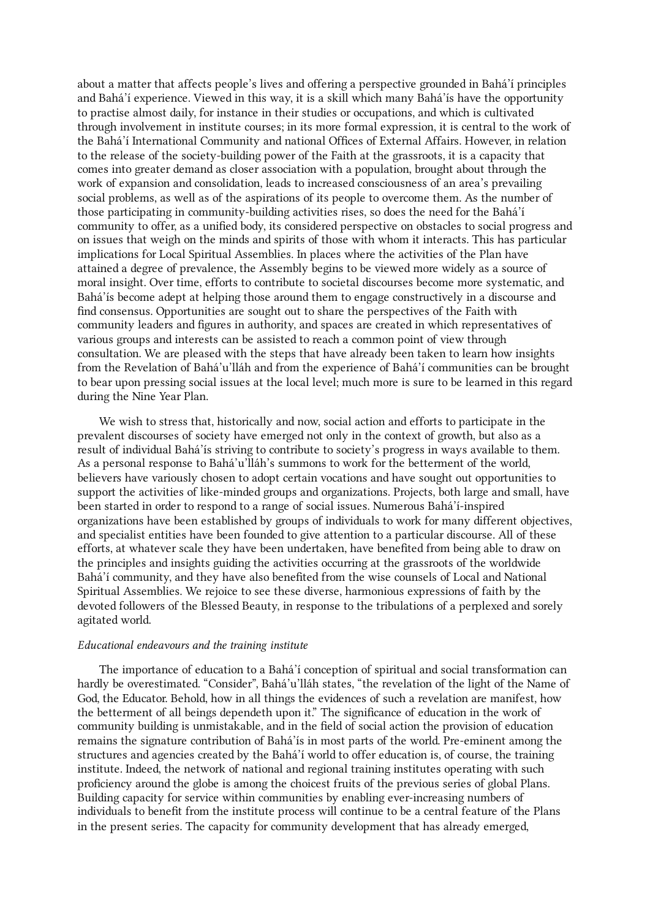about a matter that affects people's lives and offering a perspective grounded in Bahá'í principles and Bahá'í experience. Viewed in this way, it is a skill which many Bahá'ís have the opportunity to practise almost daily, for instance in their studies or occupations, and which is cultivated through involvement in institute courses; in its more formal expression, it is central to the work of the Bahá'í International Community and national Offices of External Affairs. However, in relation to the release of the society-building power of the Faith at the grassroots, it is a capacity that comes into greater demand as closer association with a population, brought about through the work of expansion and consolidation, leads to increased consciousness of an area's prevailing social problems, as well as of the aspirations of its people to overcome them. As the number of those participating in community-building activities rises, so does the need for the Bahá'í community to offer, as a unified body, its considered perspective on obstacles to social progress and on issues that weigh on the minds and spirits of those with whom it interacts. This has particular implications for Local Spiritual Assemblies. In places where the activities of the Plan have attained a degree of prevalence, the Assembly begins to be viewed more widely as a source of moral insight. Over time, efforts to contribute to societal discourses become more systematic, and Bahá'ís become adept at helping those around them to engage constructively in a discourse and find consensus. Opportunities are sought out to share the perspectives of the Faith with community leaders and figures in authority, and spaces are created in which representatives of various groups and interests can be assisted to reach a common point of view through consultation. We are pleased with the steps that have already been taken to learn how insights from the Revelation of Bahá'u'lláh and from the experience of Bahá'í communities can be brought to bear upon pressing social issues at the local level; much more is sure to be learned in this regard during the Nine Year Plan.

We wish to stress that, historically and now, social action and efforts to participate in the prevalent discourses of society have emerged not only in the context of growth, but also as a result of individual Bahá'ís striving to contribute to society's progress in ways available to them. As a personal response to Bahá'u'lláh's summons to work for the betterment of the world, believers have variously chosen to adopt certain vocations and have sought out opportunities to support the activities of like-minded groups and organizations. Projects, both large and small, have been started in order to respond to a range of social issues. Numerous Bahá'í-inspired organizations have been established by groups of individuals to work for many different objectives, and specialist entities have been founded to give attention to a particular discourse. All of these efforts, at whatever scale they have been undertaken, have benefited from being able to draw on the principles and insights guiding the activities occurring at the grassroots of the worldwide Bahá'í community, and they have also benefited from the wise counsels of Local and National Spiritual Assemblies. We rejoice to see these diverse, harmonious expressions of faith by the devoted followers of the Blessed Beauty, in response to the tribulations of a perplexed and sorely agitated world.

#### Educational endeavours and the training institute

The importance of education to a Bahá'í conception of spiritual and social transformation can hardly be overestimated. "Consider", Bahá'u'lláh states, "the revelation of the light of the Name of God, the Educator. Behold, how in all things the evidences of such a revelation are manifest, how the betterment of all beings dependeth upon it." The significance of education in the work of community building is unmistakable, and in the field of social action the provision of education remains the signature contribution of Bahá'ís in most parts of the world. Pre-eminent among the structures and agencies created by the Bahá'í world to offer education is, of course, the training institute. Indeed, the network of national and regional training institutes operating with such proficiency around the globe is among the choicest fruits of the previous series of global Plans. Building capacity for service within communities by enabling ever-increasing numbers of individuals to benefit from the institute process will continue to be a central feature of the Plans in the present series. The capacity for community development that has already emerged,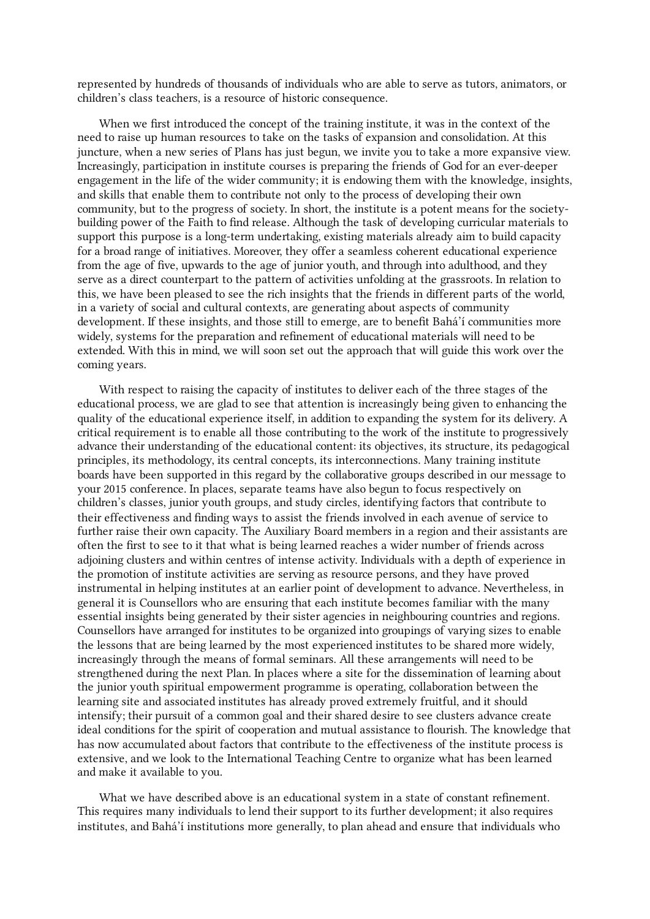represented by hundreds of thousands of individuals who are able to serve as tutors, animators, or children's class teachers, is a resource of historic consequence.

When we first introduced the concept of the training institute, it was in the context of the need to raise up human resources to take on the tasks of expansion and consolidation. At this juncture, when a new series of Plans has just begun, we invite you to take a more expansive view. Increasingly, participation in institute courses is preparing the friends of God for an ever-deeper engagement in the life of the wider community; it is endowing them with the knowledge, insights, and skills that enable them to contribute not only to the process of developing their own community, but to the progress of society. In short, the institute is a potent means for the societybuilding power of the Faith to find release. Although the task of developing curricular materials to support this purpose is a long-term undertaking, existing materials already aim to build capacity for a broad range of initiatives. Moreover, they offer a seamless coherent educational experience from the age of five, upwards to the age of junior youth, and through into adulthood, and they serve as a direct counterpart to the pattern of activities unfolding at the grassroots. In relation to this, we have been pleased to see the rich insights that the friends in different parts of the world, in a variety of social and cultural contexts, are generating about aspects of community development. If these insights, and those still to emerge, are to benefit Bahá'í communities more widely, systems for the preparation and refinement of educational materials will need to be extended. With this in mind, we will soon set out the approach that will guide this work over the coming years.

With respect to raising the capacity of institutes to deliver each of the three stages of the educational process, we are glad to see that attention is increasingly being given to enhancing the quality of the educational experience itself, in addition to expanding the system for its delivery. A critical requirement is to enable all those contributing to the work of the institute to progressively advance their understanding of the educational content: its objectives, its structure, its pedagogical principles, its methodology, its central concepts, its interconnections. Many training institute boards have been supported in this regard by the collaborative groups described in our message to your 2015 conference. In places, separate teams have also begun to focus respectively on children's classes, junior youth groups, and study circles, identifying factors that contribute to their effectiveness and finding ways to assist the friends involved in each avenue of service to further raise their own capacity. The Auxiliary Board members in a region and their assistants are often the first to see to it that what is being learned reaches a wider number of friends across adjoining clusters and within centres of intense activity. Individuals with a depth of experience in the promotion of institute activities are serving as resource persons, and they have proved instrumental in helping institutes at an earlier point of development to advance. Nevertheless, in general it is Counsellors who are ensuring that each institute becomes familiar with the many essential insights being generated by their sister agencies in neighbouring countries and regions. Counsellors have arranged for institutes to be organized into groupings of varying sizes to enable the lessons that are being learned by the most experienced institutes to be shared more widely, increasingly through the means of formal seminars. All these arrangements will need to be strengthened during the next Plan. In places where a site for the dissemination of learning about the junior youth spiritual empowerment programme is operating, collaboration between the learning site and associated institutes has already proved extremely fruitful, and it should intensify; their pursuit of a common goal and their shared desire to see clusters advance create ideal conditions for the spirit of cooperation and mutual assistance to flourish. The knowledge that has now accumulated about factors that contribute to the effectiveness of the institute process is extensive, and we look to the International Teaching Centre to organize what has been learned and make it available to you.

What we have described above is an educational system in a state of constant refinement. This requires many individuals to lend their support to its further development; it also requires institutes, and Bahá'í institutions more generally, to plan ahead and ensure that individuals who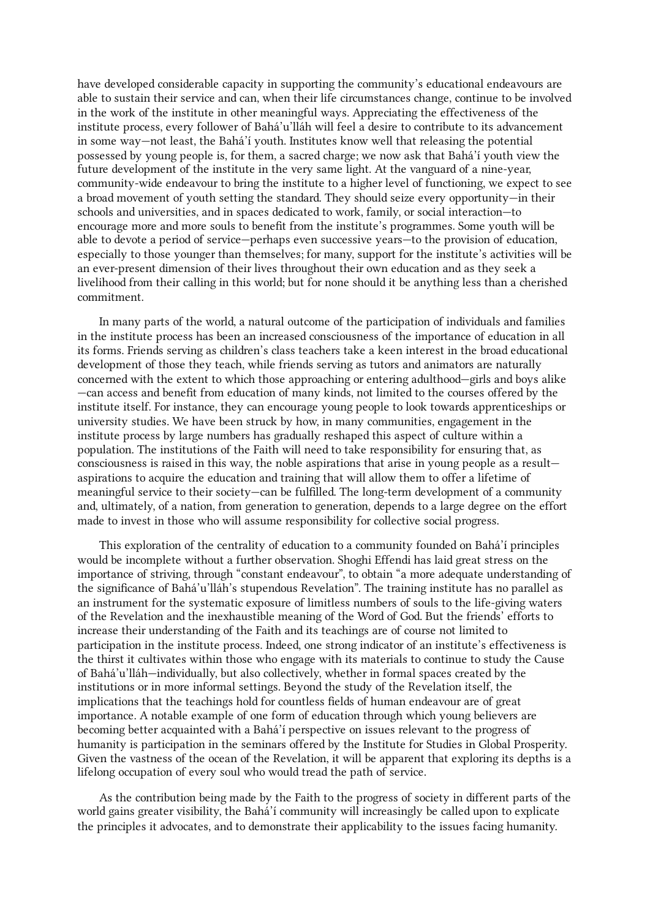have developed considerable capacity in supporting the community's educational endeavours are able to sustain their service and can, when their life circumstances change, continue to be involved in the work of the institute in other meaningful ways. Appreciating the effectiveness of the institute process, every follower of Bahá'u'lláh will feel a desire to contribute to its advancement in some way—not least, the Bahá'í youth. Institutes know well that releasing the potential possessed by young people is, for them, a sacred charge; we now ask that Bahá'í youth view the future development of the institute in the very same light. At the vanguard of a nine-year, community-wide endeavour to bring the institute to a higher level of functioning, we expect to see a broad movement of youth setting the standard. They should seize every opportunity—in their schools and universities, and in spaces dedicated to work, family, or social interaction—to encourage more and more souls to benefit from the institute's programmes. Some youth will be able to devote a period of service—perhaps even successive years—to the provision of education, especially to those younger than themselves; for many, support for the institute's activities will be an ever-present dimension of their lives throughout their own education and as they seek a livelihood from their calling in this world; but for none should it be anything less than a cherished commitment.

In many parts of the world, a natural outcome of the participation of individuals and families in the institute process has been an increased consciousness of the importance of education in all its forms. Friends serving as children's class teachers take a keen interest in the broad educational development of those they teach, while friends serving as tutors and animators are naturally concerned with the extent to which those approaching or entering adulthood—girls and boys alike —can access and benefit from education of many kinds, not limited to the courses offered by the institute itself. For instance, they can encourage young people to look towards apprenticeships or university studies. We have been struck by how, in many communities, engagement in the institute process by large numbers has gradually reshaped this aspect of culture within a population. The institutions of the Faith will need to take responsibility for ensuring that, as consciousness is raised in this way, the noble aspirations that arise in young people as a result aspirations to acquire the education and training that will allow them to offer a lifetime of meaningful service to their society—can be fulfilled. The long-term development of a community and, ultimately, of a nation, from generation to generation, depends to a large degree on the effort made to invest in those who will assume responsibility for collective social progress.

This exploration of the centrality of education to a community founded on Bahá'í principles would be incomplete without a further observation. Shoghi Effendi has laid great stress on the importance of striving, through "constant endeavour", to obtain "a more adequate understanding of the significance of Bahá'u'lláh's stupendous Revelation". The training institute has no parallel as an instrument for the systematic exposure of limitless numbers of souls to the life-giving waters of the Revelation and the inexhaustible meaning of the Word of God. But the friends' efforts to increase their understanding of the Faith and its teachings are of course not limited to participation in the institute process. Indeed, one strong indicator of an institute's effectiveness is the thirst it cultivates within those who engage with its materials to continue to study the Cause of Bahá'u'lláh—individually, but also collectively, whether in formal spaces created by the institutions or in more informal settings. Beyond the study of the Revelation itself, the implications that the teachings hold for countless fields of human endeavour are of great importance. A notable example of one form of education through which young believers are becoming better acquainted with a Bahá'í perspective on issues relevant to the progress of humanity is participation in the seminars offered by the Institute for Studies in Global Prosperity. Given the vastness of the ocean of the Revelation, it will be apparent that exploring its depths is a lifelong occupation of every soul who would tread the path of service.

As the contribution being made by the Faith to the progress of society in different parts of the world gains greater visibility, the Bahá'í community will increasingly be called upon to explicate the principles it advocates, and to demonstrate their applicability to the issues facing humanity.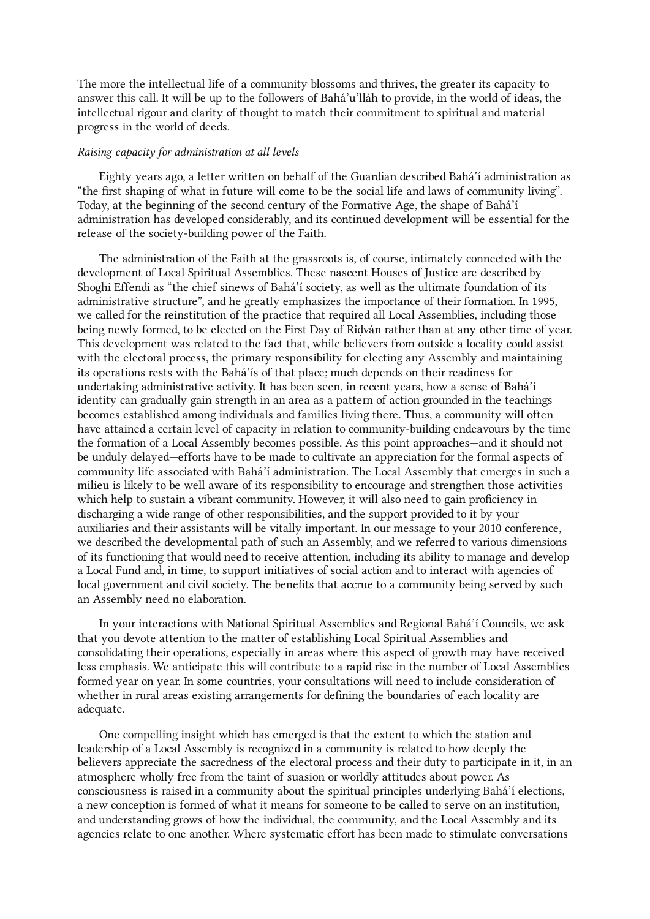The more the intellectual life of a community blossoms and thrives, the greater its capacity to answer this call. It will be up to the followers of Bahá'u'lláh to provide, in the world of ideas, the intellectual rigour and clarity of thought to match their commitment to spiritual and material progress in the world of deeds.

# Raising capacity for administration at all levels

Eighty years ago, a letter written on behalf of the Guardian described Bahá'í administration as "the first shaping of what in future will come to be the social life and laws of community living". Today, at the beginning of the second century of the Formative Age, the shape of Bahá'í administration has developed considerably, and its continued development will be essential for the release of the society-building power of the Faith.

The administration of the Faith at the grassroots is, of course, intimately connected with the development of Local Spiritual Assemblies. These nascent Houses of Justice are described by Shoghi Effendi as "the chief sinews of Bahá'í society, as well as the ultimate foundation of its administrative structure", and he greatly emphasizes the importance of their formation. In 1995, we called for the reinstitution of the practice that required all Local Assemblies, including those being newly formed, to be elected on the First Day of Riḍván rather than at any other time of year. This development was related to the fact that, while believers from outside a locality could assist with the electoral process, the primary responsibility for electing any Assembly and maintaining its operations rests with the Bahá'ís of that place; much depends on their readiness for undertaking administrative activity. It has been seen, in recent years, how a sense of Bahá'í identity can gradually gain strength in an area as a pattern of action grounded in the teachings becomes established among individuals and families living there. Thus, a community will often have attained a certain level of capacity in relation to community-building endeavours by the time the formation of a Local Assembly becomes possible. As this point approaches—and it should not be unduly delayed—efforts have to be made to cultivate an appreciation for the formal aspects of community life associated with Bahá'í administration. The Local Assembly that emerges in such a milieu is likely to be well aware of its responsibility to encourage and strengthen those activities which help to sustain a vibrant community. However, it will also need to gain proficiency in discharging a wide range of other responsibilities, and the support provided to it by your auxiliaries and their assistants will be vitally important. In our message to your 2010 conference, we described the developmental path of such an Assembly, and we referred to various dimensions of its functioning that would need to receive attention, including its ability to manage and develop a Local Fund and, in time, to support initiatives of social action and to interact with agencies of local government and civil society. The benefits that accrue to a community being served by such an Assembly need no elaboration.

In your interactions with National Spiritual Assemblies and Regional Bahá'í Councils, we ask that you devote attention to the matter of establishing Local Spiritual Assemblies and consolidating their operations, especially in areas where this aspect of growth may have received less emphasis. We anticipate this will contribute to a rapid rise in the number of Local Assemblies formed year on year. In some countries, your consultations will need to include consideration of whether in rural areas existing arrangements for defining the boundaries of each locality are adequate.

One compelling insight which has emerged is that the extent to which the station and leadership of a Local Assembly is recognized in a community is related to how deeply the believers appreciate the sacredness of the electoral process and their duty to participate in it, in an atmosphere wholly free from the taint of suasion or worldly attitudes about power. As consciousness is raised in a community about the spiritual principles underlying Bahá'í elections, a new conception is formed of what it means for someone to be called to serve on an institution, and understanding grows of how the individual, the community, and the Local Assembly and its agencies relate to one another. Where systematic effort has been made to stimulate conversations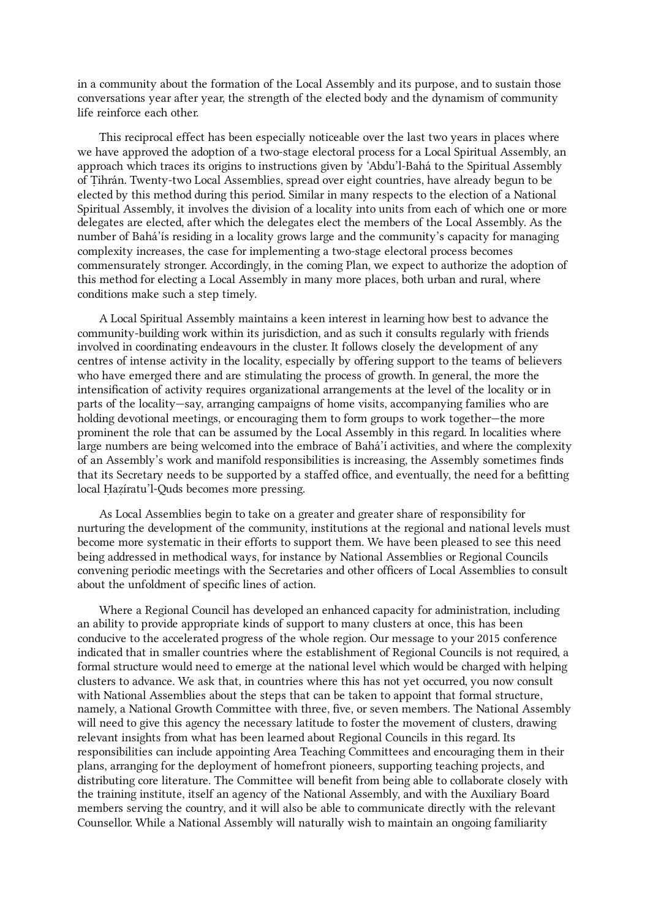in a community about the formation of the Local Assembly and its purpose, and to sustain those conversations year after year, the strength of the elected body and the dynamism of community life reinforce each other.

This reciprocal effect has been especially noticeable over the last two years in places where we have approved the adoption of a two-stage electoral process for a Local Spiritual Assembly, an approach which traces its origins to instructions given by 'Abdu'l-Bahá to the Spiritual Assembly of Ṭihrán. Twenty-two Local Assemblies, spread over eight countries, have already begun to be elected by this method during this period. Similar in many respects to the election of a National Spiritual Assembly, it involves the division of a locality into units from each of which one or more delegates are elected, after which the delegates elect the members of the Local Assembly. As the number of Bahá'ís residing in a locality grows large and the community's capacity for managing complexity increases, the case for implementing a two-stage electoral process becomes commensurately stronger. Accordingly, in the coming Plan, we expect to authorize the adoption of this method for electing a Local Assembly in many more places, both urban and rural, where conditions make such a step timely.

A Local Spiritual Assembly maintains a keen interest in learning how best to advance the community-building work within its jurisdiction, and as such it consults regularly with friends involved in coordinating endeavours in the cluster. It follows closely the development of any centres of intense activity in the locality, especially by offering support to the teams of believers who have emerged there and are stimulating the process of growth. In general, the more the intensification of activity requires organizational arrangements at the level of the locality or in parts of the locality—say, arranging campaigns of home visits, accompanying families who are holding devotional meetings, or encouraging them to form groups to work together—the more prominent the role that can be assumed by the Local Assembly in this regard. In localities where large numbers are being welcomed into the embrace of Bahá'í activities, and where the complexity of an Assembly's work and manifold responsibilities is increasing, the Assembly sometimes finds that its Secretary needs to be supported by a staffed office, and eventually, the need for a befitting local Hazíratu'l-Quds becomes more pressing.

As Local Assemblies begin to take on a greater and greater share of responsibility for nurturing the development of the community, institutions at the regional and national levels must become more systematic in their efforts to support them. We have been pleased to see this need being addressed in methodical ways, for instance by National Assemblies or Regional Councils convening periodic meetings with the Secretaries and other officers of Local Assemblies to consult about the unfoldment of specific lines of action.

Where a Regional Council has developed an enhanced capacity for administration, including an ability to provide appropriate kinds of support to many clusters at once, this has been conducive to the accelerated progress of the whole region. Our message to your 2015 conference indicated that in smaller countries where the establishment of Regional Councils is not required, a formal structure would need to emerge at the national level which would be charged with helping clusters to advance. We ask that, in countries where this has not yet occurred, you now consult with National Assemblies about the steps that can be taken to appoint that formal structure, namely, a National Growth Committee with three, five, or seven members. The National Assembly will need to give this agency the necessary latitude to foster the movement of clusters, drawing relevant insights from what has been learned about Regional Councils in this regard. Its responsibilities can include appointing Area Teaching Committees and encouraging them in their plans, arranging for the deployment of homefront pioneers, supporting teaching projects, and distributing core literature. The Committee will benefit from being able to collaborate closely with the training institute, itself an agency of the National Assembly, and with the Auxiliary Board members serving the country, and it will also be able to communicate directly with the relevant Counsellor. While a National Assembly will naturally wish to maintain an ongoing familiarity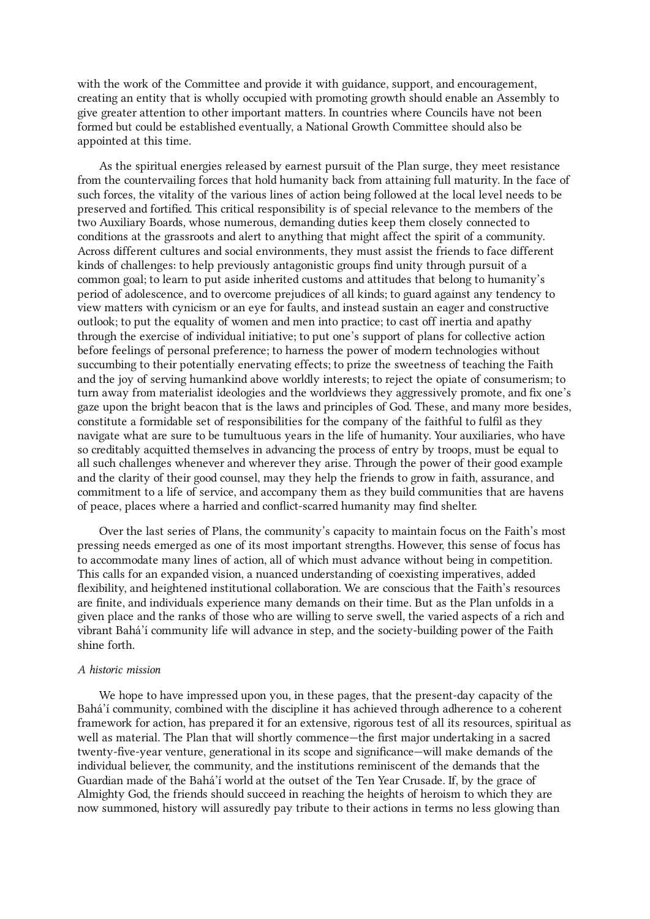with the work of the Committee and provide it with guidance, support, and encouragement, creating an entity that is wholly occupied with promoting growth should enable an Assembly to give greater attention to other important matters. In countries where Councils have not been formed but could be established eventually, a National Growth Committee should also be appointed at this time.

As the spiritual energies released by earnest pursuit of the Plan surge, they meet resistance from the countervailing forces that hold humanity back from attaining full maturity. In the face of such forces, the vitality of the various lines of action being followed at the local level needs to be preserved and fortified. This critical responsibility is of special relevance to the members of the two Auxiliary Boards, whose numerous, demanding duties keep them closely connected to conditions at the grassroots and alert to anything that might affect the spirit of a community. Across different cultures and social environments, they must assist the friends to face different kinds of challenges: to help previously antagonistic groups find unity through pursuit of a common goal; to learn to put aside inherited customs and attitudes that belong to humanity's period of adolescence, and to overcome prejudices of all kinds; to guard against any tendency to view matters with cynicism or an eye for faults, and instead sustain an eager and constructive outlook; to put the equality of women and men into practice; to cast off inertia and apathy through the exercise of individual initiative; to put one's support of plans for collective action before feelings of personal preference; to harness the power of modern technologies without succumbing to their potentially enervating effects; to prize the sweetness of teaching the Faith and the joy of serving humankind above worldly interests; to reject the opiate of consumerism; to turn away from materialist ideologies and the worldviews they aggressively promote, and fix one's gaze upon the bright beacon that is the laws and principles of God. These, and many more besides, constitute a formidable set of responsibilities for the company of the faithful to fulfil as they navigate what are sure to be tumultuous years in the life of humanity. Your auxiliaries, who have so creditably acquitted themselves in advancing the process of entry by troops, must be equal to all such challenges whenever and wherever they arise. Through the power of their good example and the clarity of their good counsel, may they help the friends to grow in faith, assurance, and commitment to a life of service, and accompany them as they build communities that are havens of peace, places where a harried and conflict-scarred humanity may find shelter.

Over the last series of Plans, the community's capacity to maintain focus on the Faith's most pressing needs emerged as one of its most important strengths. However, this sense of focus has to accommodate many lines of action, all of which must advance without being in competition. This calls for an expanded vision, a nuanced understanding of coexisting imperatives, added flexibility, and heightened institutional collaboration. We are conscious that the Faith's resources are finite, and individuals experience many demands on their time. But as the Plan unfolds in a given place and the ranks of those who are willing to serve swell, the varied aspects of a rich and vibrant Bahá'í community life will advance in step, and the society-building power of the Faith shine forth.

#### A historic mission

We hope to have impressed upon you, in these pages, that the present-day capacity of the Bahá'í community, combined with the discipline it has achieved through adherence to a coherent framework for action, has prepared it for an extensive, rigorous test of all its resources, spiritual as well as material. The Plan that will shortly commence—the first major undertaking in a sacred twenty-five-year venture, generational in its scope and significance—will make demands of the individual believer, the community, and the institutions reminiscent of the demands that the Guardian made of the Bahá'í world at the outset of the Ten Year Crusade. If, by the grace of Almighty God, the friends should succeed in reaching the heights of heroism to which they are now summoned, history will assuredly pay tribute to their actions in terms no less glowing than